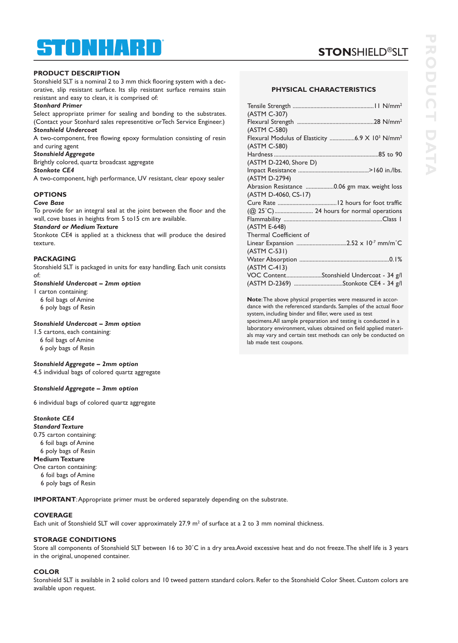# ® STONHART

# **STON**SHIELD®SLT

### **PRODUCT DESCRIPTION**

Stonshield SLT is a nominal 2 to 3 mm thick flooring system with a decorative, slip resistant surface. Its slip resistant surface remains stain resistant and easy to clean, it is comprised of:

### *Stonhard Primer*

Select appropriate primer for sealing and bonding to the substrates. (Contact your Stonhard sales representitive orTech Service Engineer.)

*Stonshield Undercoat* A two-component, free flowing epoxy formulation consisting of resin and curing agent

*Stonshield Aggregate*

Brightly colored, quartz broadcast aggregate

### *Stonkote CE4*

A two-component, high performance, UV resistant, clear epoxy sealer

### **OPTIONS**

### *Cove Base*

To provide for an integral seal at the joint between the floor and the wall, cove bases in heights from 5 to15 cm are available.

#### *Standard or Medium Texture*

Stonkote CE4 is applied at a thickness that will produce the desired texture.

### **PACKAGING**

Stonshield SLT is packaged in units for easy handling. Each unit consists of:

### *Stonshield Undercoat – 2mm option*

1 carton containing:

- 6 foil bags of Amine
- 6 poly bags of Resin

### *Stonshield Undercoat – 3mm option*

1.5 cartons, each containing: 6 foil bags of Amine 6 poly bags of Resin

### *Stonshield Aggregate – 2mm option*

4.5 individual bags of colored quartz aggregate

### *Stonshield Aggregate – 3mm option*

6 individual bags of colored quartz aggregate

# *Stonkote CE4*

*Standard Texture* 0.75 carton containing:

- 6 foil bags of Amine
- 6 poly bags of Resin

### **MediumTexture**

One carton containing:

6 foil bags of Amine

6 poly bags of Resin

**IMPORTANT**:Appropriate primer must be ordered separately depending on the substrate.

# **COVERAGE**

Each unit of Stonshield SLT will cover approximately 27.9  $m^2$  of surface at a 2 to 3 mm nominal thickness.

# **STORAGE CONDITIONS**

Store all components of Stonshield SLT between 16 to 30°C in a dry area.Avoid excessive heat and do not freeze. The shelf life is 3 years in the original, unopened container.

### **COLOR**

Stonshield SLT is available in 2 solid colors and 10 tweed pattern standard colors. Refer to the Stonshield Color Sheet. Custom colors are available upon request.

### **PHYSICAL CHARACTERISTICS**

| (ASTM C-307)<br>(ASTM C-580)<br>Flexural Modulus of Elasticity 6.9 X 10 <sup>3</sup> N/mm <sup>2</sup><br>(ASTM C-580)<br>(ASTM D-2240, Shore D)<br>(ASTM D-2794)<br>Abrasion Resistance 0.06 gm max. weight loss |
|-------------------------------------------------------------------------------------------------------------------------------------------------------------------------------------------------------------------|
|                                                                                                                                                                                                                   |
|                                                                                                                                                                                                                   |
|                                                                                                                                                                                                                   |
|                                                                                                                                                                                                                   |
|                                                                                                                                                                                                                   |
|                                                                                                                                                                                                                   |
|                                                                                                                                                                                                                   |
|                                                                                                                                                                                                                   |
|                                                                                                                                                                                                                   |
|                                                                                                                                                                                                                   |
| (ASTM D-4060, CS-17)                                                                                                                                                                                              |
|                                                                                                                                                                                                                   |
| (@ 25°C) 24 hours for normal operations                                                                                                                                                                           |
|                                                                                                                                                                                                                   |
| (ASTM E-648)                                                                                                                                                                                                      |
| Thermal Coefficient of                                                                                                                                                                                            |
|                                                                                                                                                                                                                   |
| (ASTM C-531)                                                                                                                                                                                                      |
|                                                                                                                                                                                                                   |
| (ASTM C-413)                                                                                                                                                                                                      |
| VOC ContentStonshield Undercoat - 34 g/l                                                                                                                                                                          |
| (ASTM D-2369) Stonkote CE4 - 34 g/l                                                                                                                                                                               |

**Note**:The above physical properties were measured in accordance with the referenced standards. Samples of the actual floor system, including binder and filler, were used as test specimens.All sample preparation and testing is conducted in a laboratory environment, values obtained on field applied materials may vary and certain test methods can only be conducted on lab made test coupons.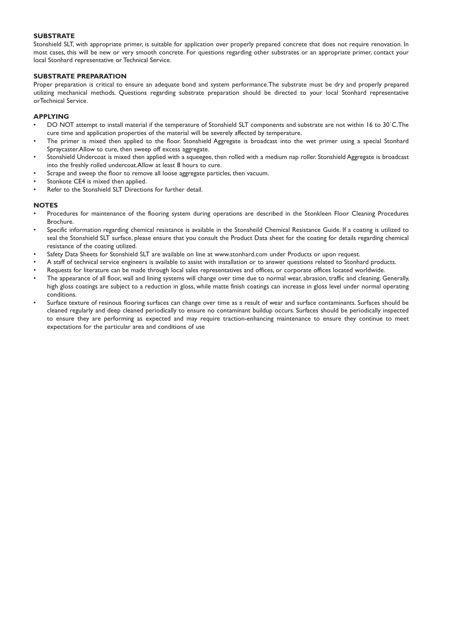### **SUBSTRATE**

Stonshield SLT, with appropriate primer, is suitable for application over properly prepared concrete that does not require renovation. In most cases, this will be new or very smooth concrete. For questions regarding other substrates or an appropriate primer, contact your local Stonhard representative or Technical Service.

### **SUBSTRATE PREPARATION**

Proper preparation is critical to ensure an adequate bond and system performance.The substrate must be dry and properly prepared utilizing mechanical methods. Questions regarding substrate preparation should be directed to your local Stonhard representative orTechnical Service.

### **APPLYING**

- DO NOT attempt to install material if the temperature of Stonshield SLT components and substrate are not within 16 to 30˚C.The cure time and application properties of the material will be severely affected by temperature.
- The primer is mixed then applied to the floor. Stonshield Aggregate is broadcast into the wet primer using a special Stonhard Spraycaster.Allow to cure, then sweep off excess aggregate.
- Stonshield Undercoat is mixed then applied with a squeegee, then rolled with a medium nap roller. Stonshield Aggregate is broadcast into the freshly rolled undercoat.Allow at least 8 hours to cure.
- Scrape and sweep the floor to remove all loose aggregate particles, then vacuum.
- Stonkote CE4 is mixed then applied.
- Refer to the Stonshield SLT Directions for further detail.

### **NOTES**

- Procedures for maintenance of the flooring system during operations are described in the Stonkleen Floor Cleaning Procedures Brochure.
- Specific information regarding chemical resistance is available in the Stonsheild Chemical Resistance Guide. If a coating is utilized to seal the Stonshield SLT surface, please ensure that you consult the Product Data sheet for the coating for details regarding chemical resistance of the coating utilized.
- Safety Data Sheets for Stonshield SLT are available on line at www.stonhard.com under Products or upon request.
- A staff of technical service engineers is available to assist with installation or to answer questions related to Stonhard products.
- Requests for literature can be made through local sales representatives and offices, or corporate offices located worldwide.
- The appearance of all floor, wall and lining systems will change over time due to normal wear, abrasion, traffic and cleaning. Generally, high gloss coatings are subject to a reduction in gloss, while matte finish coatings can increase in gloss level under normal operating conditions.
- Surface texture of resinous flooring surfaces can change over time as a result of wear and surface contaminants. Surfaces should be cleaned regularly and deep cleaned periodically to ensure no contaminant buildup occurs. Surfaces should be periodically inspected to ensure they are performing as expected and may require traction-enhancing maintenance to ensure they continue to meet expectations for the particular area and conditions of use